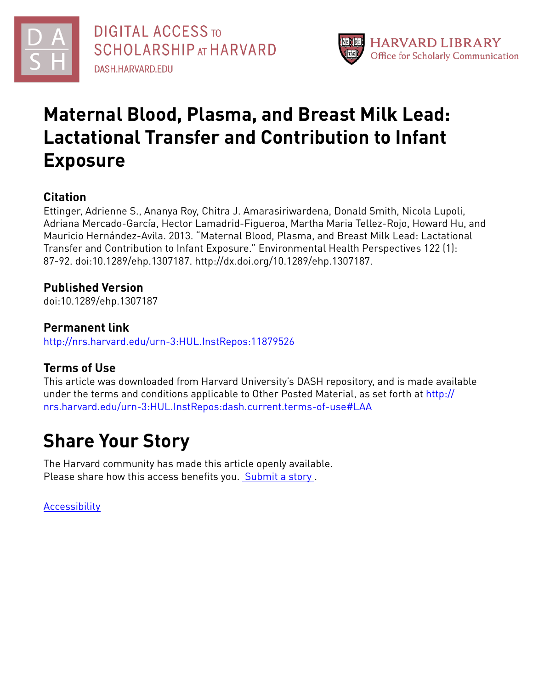



# **Maternal Blood, Plasma, and Breast Milk Lead: Lactational Transfer and Contribution to Infant Exposure**

# **Citation**

Ettinger, Adrienne S., Ananya Roy, Chitra J. Amarasiriwardena, Donald Smith, Nicola Lupoli, Adriana Mercado-García, Hector Lamadrid-Figueroa, Martha Maria Tellez-Rojo, Howard Hu, and Mauricio Hernández-Avila. 2013. "Maternal Blood, Plasma, and Breast Milk Lead: Lactational Transfer and Contribution to Infant Exposure." Environmental Health Perspectives 122 (1): 87-92. doi:10.1289/ehp.1307187. http://dx.doi.org/10.1289/ehp.1307187.

## **Published Version**

doi:10.1289/ehp.1307187

## **Permanent link**

<http://nrs.harvard.edu/urn-3:HUL.InstRepos:11879526>

# **Terms of Use**

This article was downloaded from Harvard University's DASH repository, and is made available under the terms and conditions applicable to Other Posted Material, as set forth at [http://](http://nrs.harvard.edu/urn-3:HUL.InstRepos:dash.current.terms-of-use#LAA) [nrs.harvard.edu/urn-3:HUL.InstRepos:dash.current.terms-of-use#LAA](http://nrs.harvard.edu/urn-3:HUL.InstRepos:dash.current.terms-of-use#LAA)

# **Share Your Story**

The Harvard community has made this article openly available. Please share how this access benefits you. [Submit](http://osc.hul.harvard.edu/dash/open-access-feedback?handle=&title=Maternal%20Blood,%20Plasma,%20and%20Breast%20Milk%20Lead:%20Lactational%20Transfer%20and%20Contribution%20to%20Infant%20Exposure&community=1/4454687&collection=1/4454688&owningCollection1/4454688&harvardAuthors=d1b967ceb578896dff000b24750eaaba&department) a story.

**[Accessibility](https://dash.harvard.edu/pages/accessibility)**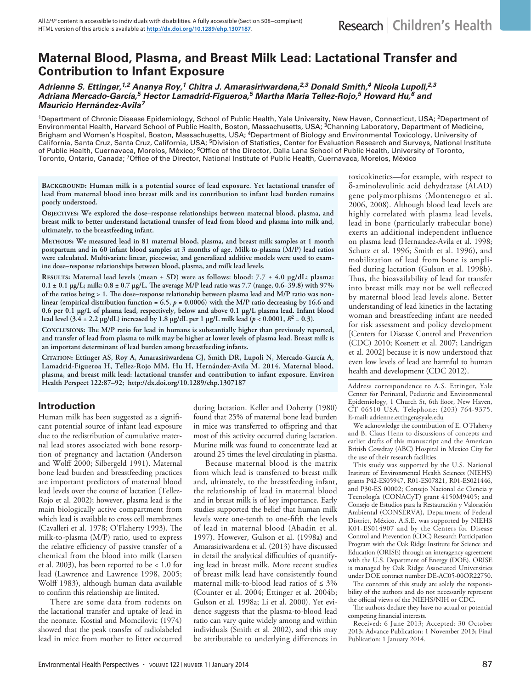## **Maternal Blood, Plasma, and Breast Milk Lead: Lactational Transfer and Contribution to Infant Exposure**

*Adrienne S. Ettinger,1,2 Ananya Roy,1 Chitra J. Amarasiriwardena,2,3 Donald Smith,4 Nicola Lupoli,2,3 Adriana Mercado-García,5 Hector Lamadrid-Figueroa,5 Martha Maria Tellez-Rojo,5 Howard Hu,6 and Mauricio Hernández-Avila<sup>7</sup>*

<sup>1</sup>Department of Chronic Disease Epidemiology, School of Public Health, Yale University, New Haven, Connecticut, USA; <sup>2</sup>Department of Environmental Health, Harvard School of Public Health, Boston, Massachusetts, USA; <sup>3</sup>Channing Laboratory, Department of Medicine, Brigham and Women's Hospital, Boston, Massachusetts, USA; <sup>4</sup>Department of Biology and Environmental Toxicology, University of California, Santa Cruz, Santa Cruz, California, USA; <sup>5</sup>Division of Statistics, Center for Evaluation Research and Surveys, National Institute of Public Health, Cuernavaca, Morelos, México; <sup>6</sup>Office of the Director, Dalla Lana School of Public Health, University of Toronto, Toronto, Ontario, Canada; 7Office of the Director, National Institute of Public Health, Cuernavaca, Morelos, México

**Background: Human milk is a potential source of lead exposure. Yet lactational transfer of lead from maternal blood into breast milk and its contribution to infant lead burden remains poorly understood.**

**Objectives: We explored the dose–response relationships between maternal blood, plasma, and breast milk to better understand lactational transfer of lead from blood and plasma into milk and, ultimately, to the breastfeeding infant.**

**Methods: We measured lead in 81 maternal blood, plasma, and breast milk samples at 1 month postpartum and in 60 infant blood samples at 3 months of age. Milk-to-plasma (M/P) lead ratios were calculated. Multivariate linear, piecewise, and generalized additive models were used to examine dose–response relationships between blood, plasma, and milk lead levels.**

**Results: Maternal lead levels (mean ± SD) were as follows: blood: 7.7 ± 4.0 μg/dL; plasma: 0.1 ± 0.1 μg/L; milk: 0.8 ± 0.7 μg/L. The average M/P lead ratio was 7.7 (range, 0.6–39.8) with 97% of the ratios being > 1. The dose–response relationship between plasma lead and M/P ratio was non**linear (empirical distribution function =  $6.5$ ,  $p = 0.0006$ ) with the M/P ratio decreasing by 16.6 and **0.6 per 0.1 μg/L of plasma lead, respectively, below and above 0.1 μg/L plasma lead. Infant blood lead level (3.4 ± 2.2 μg/dL) increased by 1.8 μg/dL per 1 μg/L milk lead (***p* **< 0.0001,** *R***<sup>2</sup> = 0.3).**

**Conclusions: The M/P ratio for lead in humans is substantially higher than previously reported, and transfer of lead from plasma to milk may be higher at lower levels of plasma lead. Breast milk is an important determinant of lead burden among breastfeeding infants.**

**Citation: Ettinger AS, Roy A, Amarasiriwardena CJ, Smith DR, Lupoli N, Mercado-García A, Lamadrid-Figueroa H, Tellez-Rojo MM, Hu H, Hernández-Avila M. 2014. Maternal blood, plasma, and breast milk lead: lactational transfer and contribution to infant exposure. Environ Health Perspect 122:87–92; <http://dx.doi.org/10.1289/ehp.1307187>**

### **Introduction**

Human milk has been suggested as a significant potential source of infant lead exposure due to the redistribution of cumulative maternal lead stores associated with bone resorption of pregnancy and lactation (Anderson and Wolff 2000; Silbergeld 1991). Maternal bone lead burden and breastfeeding practices are important predictors of maternal blood lead levels over the course of lactation (Tellez-Rojo et al. 2002); however, plasma lead is the main biologically active compartment from which lead is available to cross cell membranes (Cavalleri et al. 1978; O'Flaherty 1993). The milk-to-plasma (M/P) ratio, used to express the relative efficiency of passive transfer of a chemical from the blood into milk (Larsen et al. 2003), has been reported to be < 1.0 for lead (Lawrence and Lawrence 1998, 2005; Wolff 1983), although human data available to confirm this relationship are limited.

There are some data from rodents on the lactational transfer and uptake of lead in the neonate. Kostial and Momcilovic (1974) showed that the peak transfer of radiolabeled lead in mice from mother to litter occurred

during lactation. Keller and Doherty (1980) found that 25% of maternal bone lead burden in mice was transferred to offspring and that most of this activity occurred during lactation. Murine milk was found to concentrate lead at around 25 times the level circulating in plasma.

Because maternal blood is the matrix from which lead is transferred to breast milk and, ultimately, to the breastfeeding infant, the relationship of lead in maternal blood and in breast milk is of key importance. Early studies supported the belief that human milk levels were one-tenth to one-fifth the levels of lead in maternal blood (Abadin et al. 1997). However, Gulson et al. (1998a) and Amarasiriwardena et al. (2013) have discussed in detail the analytical difficulties of quantifying lead in breast milk. More recent studies of breast milk lead have consistently found maternal milk-to-blood lead ratios of ≤ 3% (Counter et al. 2004; Ettinger et al. 2004b; Gulson et al. 1998a; Li et al. 2000). Yet evidence suggests that the plasma-to-blood lead ratio can vary quite widely among and within individuals (Smith et al. 2002), and this may be attributable to underlying differences in

toxicokinetics—for example, with respect to δ-aminolevulinic acid dehydratase (ALAD) gene polymorphisms (Montenegro et al. 2006, 2008). Although blood lead levels are highly correlated with plasma lead levels, lead in bone (particularly trabecular bone) exerts an additional independent influence on plasma lead (Hernandez-Avila et al. 1998; Schutz et al. 1996; Smith et al. 1996), and mobilization of lead from bone is amplified during lactation (Gulson et al. 1998b). Thus, the bioavailability of lead for transfer into breast milk may not be well reflected by maternal blood lead levels alone. Better understanding of lead kinetics in the lactating woman and breastfeeding infant are needed for risk assessment and policy development [Centers for Disease Control and Prevention (CDC) 2010; Kosnett et al. 2007; Landrigan et al. 2002] because it is now understood that even low levels of lead are harmful to human health and development (CDC 2012).

Address correspondence to A.S. Ettinger, Yale Center for Perinatal, Pediatric and Environmental Epidemiology, 1 Church St, 6th floor, New Haven, CT 06510 USA. Telephone: (203) 764-9375. E-mail: [adrienne.ettinger@yale.edu](mailto:adrienne.ettinger@yale.edu)

We acknowledge the contribution of E. O'Flaherty and B. Claus Henn to discussions of concepts and earlier drafts of this manuscript and the American British Cowdray (ABC) Hospital in Mexico City for the use of their research facilities.

This study was supported by the U.S. National Institute of Environmental Health Sciences (NIEHS) grants P42-ES05947, R01-ES07821, R01-ES021446, and P30-ES 00002; Consejo Nacional de Ciencia y Tecnología (CONACyT) grant 4150M9405; and Consejo de Estudios para la Restauración y Valoración Ambiental (CONSERVA), Department of Federal District, México. A.S.E. was supported by NIEHS K01-ES014907 and by the Centers for Disease Control and Prevention (CDC) Research Participation Program with the Oak Ridge Institute for Science and Education (ORISE) through an interagency agreement with the U.S. Department of Energy (DOE). ORISE is managed by Oak Ridge Associated Universities under DOE contract number DE-AC05-00OR22750.

The contents of this study are solely the responsibility of the authors and do not necessarily represent the official views of the NIEHS/NIH or CDC.

The authors declare they have no actual or potential competing financial interests.

Received: 6 June 2013; Accepted: 30 October 2013; Advance Publication: 1 November 2013; Final Publication: 1 January 2014.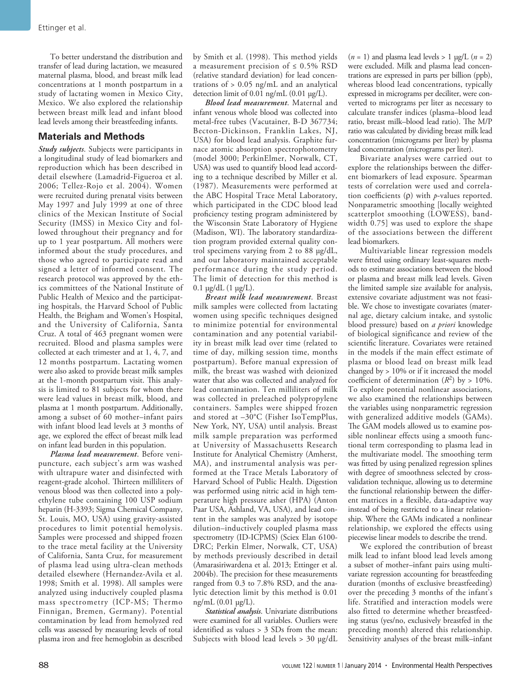To better understand the distribution and transfer of lead during lactation, we measured maternal plasma, blood, and breast milk lead concentrations at 1 month postpartum in a study of lactating women in Mexico City, Mexico. We also explored the relationship between breast milk lead and infant blood lead levels among their breastfeeding infants.

## **Materials and Methods**

*Study subjects*. Subjects were participants in a longitudinal study of lead biomarkers and reproduction which has been described in detail elsewhere (Lamadrid-Figueroa et al. 2006; Tellez-Rojo et al. 2004). Women were recruited during prenatal visits between May 1997 and July 1999 at one of three clinics of the Mexican Institute of Social Security (IMSS) in Mexico City and followed throughout their pregnancy and for up to 1 year postpartum. All mothers were informed about the study procedures, and those who agreed to participate read and signed a letter of informed consent. The research protocol was approved by the ethics committees of the National Institute of Public Health of Mexico and the participating hospitals, the Harvard School of Public Health, the Brigham and Women's Hospital, and the University of California, Santa Cruz. A total of 463 pregnant women were recruited. Blood and plasma samples were collected at each trimester and at 1, 4, 7, and 12 months postpartum. Lactating women were also asked to provide breast milk samples at the 1-month postpartum visit. This analysis is limited to 81 subjects for whom there were lead values in breast milk, blood, and plasma at 1 month postpartum. Additionally, among a subset of 60 mother–infant pairs with infant blood lead levels at 3 months of age, we explored the effect of breast milk lead on infant lead burden in this population.

*Plasma lead measurement*. Before venipuncture, each subject's arm was washed with ultrapure water and disinfected with reagent-grade alcohol. Thirteen milliliters of venous blood was then collected into a polyethylene tube containing 100 USP sodium heparin (H-3393; Sigma Chemical Company, St. Louis, MO, USA) using gravity-assisted procedures to limit potential hemolysis. Samples were processed and shipped frozen to the trace metal facility at the University of California, Santa Cruz, for measurement of plasma lead using ultra-clean methods detailed elsewhere (Hernandez-Avila et al. 1998; Smith et al. 1998). All samples were analyzed using inductively coupled plasma mass spectrometry (ICP-MS; Thermo Finnigan, Bremen, Germany). Potential contamination by lead from hemolyzed red cells was assessed by measuring levels of total plasma iron and free hemoglobin as described

by Smith et al. (1998). This method yields a measurement precision of  $\leq 0.5\%$  RSD (relative standard deviation) for lead concentrations of > 0.05 ng/mL and an analytical detection limit of 0.01 ng/mL (0.01 μg/L).

*Blood lead measurement*. Maternal and infant venous whole blood was collected into metal-free tubes (Vacutainer, B-D 367734; Becton-Dickinson, Franklin Lakes, NJ, USA) for blood lead analysis. Graphite furnace atomic absorption spectrophotometry (model 3000; PerkinElmer, Norwalk, CT, USA) was used to quantify blood lead according to a technique described by Miller et al. (1987). Measurements were performed at the ABC Hospital Trace Metal Laboratory, which participated in the CDC blood lead proficiency testing program administered by the Wisconsin State Laboratory of Hygiene (Madison, WI). The laboratory standardization program provided external quality control specimens varying from 2 to 88 μg/dL, and our laboratory maintained acceptable performance during the study period. The limit of detection for this method is  $0.1 \mu g/dL$  (1 μg/L).

*Breast milk lead measurement*. Breast milk samples were collected from lactating women using specific techniques designed to minimize potential for environmental contamination and any potential variability in breast milk lead over time (related to time of day, milking session time, months postpartum). Before manual expression of milk, the breast was washed with deionized water that also was collected and analyzed for lead contamination. Ten milliliters of milk was collected in preleached polypropylene containers. Samples were shipped frozen and stored at  $-30^{\circ}$ C (Fisher IsoTempPlus, New York, NY, USA) until analysis. Breast milk sample preparation was performed at University of Massachusetts Research Institute for Analytical Chemistry (Amherst, MA), and instrumental analysis was performed at the Trace Metals Laboratory of Harvard School of Public Health. Digestion was performed using nitric acid in high temperature high pressure asher (HPA) (Anton Paar USA, Ashland, VA, USA), and lead content in the samples was analyzed by isotope dilution–inductively coupled plasma mass spectrometry (ID-ICPMS) (Sciex Elan 6100- DRC; Perkin Elmer, Norwalk, CT, USA) by methods previously described in detail (Amarasiriwardena et al. 2013; Ettinger et al. 2004b). The precision for these measurements ranged from 0.3 to 7.8% RSD, and the analytic detection limit by this method is 0.01  $n$ g/mL  $(0.01 \mu$ g/L).

*Statistical analysis*. Univariate distributions were examined for all variables. Outliers were identified as values > 3 SDs from the mean: Subjects with blood lead levels > 30 μg/dL

 $(n = 1)$  and plasma lead levels > 1 µg/L  $(n = 2)$ were excluded. Milk and plasma lead concentrations are expressed in parts per billion (ppb), whereas blood lead concentrations, typically expressed in micrograms per deciliter, were converted to micrograms per liter as necessary to calculate transfer indices (plasma–blood lead ratio, breast milk–blood lead ratio). The M/P ratio was calculated by dividing breast milk lead concentration (micrograms per liter) by plasma lead concentration (micrograms per liter).

Bivariate analyses were carried out to explore the relationships between the different biomarkers of lead exposure. Spearman tests of correlation were used and correlation coefficients (ρ) with *p*-values reported. Nonparametric smoothing [locally weighted scatterplot smoothing (LOWESS), bandwidth 0.75] was used to explore the shape of the associations between the different lead biomarkers.

Multivariable linear regression models were fitted using ordinary least-squares methods to estimate associations between the blood or plasma and breast milk lead levels. Given the limited sample size available for analysis, extensive covariate adjustment was not feasible. We chose to investigate covariates (maternal age, dietary calcium intake, and systolic blood pressure) based on *a priori* knowledge of biological significance and review of the scientific literature. Covariates were retained in the models if the main effect estimate of plasma or blood lead on breast milk lead changed by > 10% or if it increased the model coefficient of determination  $(R^2)$  by > 10%. To explore potential nonlinear associations, we also examined the relationships between the variables using nonparametric regression with generalized additive models (GAMs). The GAM models allowed us to examine possible nonlinear effects using a smooth functional term corresponding to plasma lead in the multivariate model. The smoothing term was fitted by using penalized regression splines with degree of smoothness selected by crossvalidation technique, allowing us to determine the functional relationship between the different matrices in a flexible, data-adaptive way instead of being restricted to a linear relationship. Where the GAMs indicated a nonlinear relationship, we explored the effects using piecewise linear models to describe the trend.

We explored the contribution of breast milk lead to infant blood lead levels among a subset of mother–infant pairs using multivariate regression accounting for breastfeeding duration (months of exclusive breastfeeding) over the preceding 3 months of the infant's life. Stratified and interaction models were also fitted to determine whether breastfeeding status (yes/no, exclusively breastfed in the preceding month) altered this relationship. Sensitivity analyses of the breast milk–infant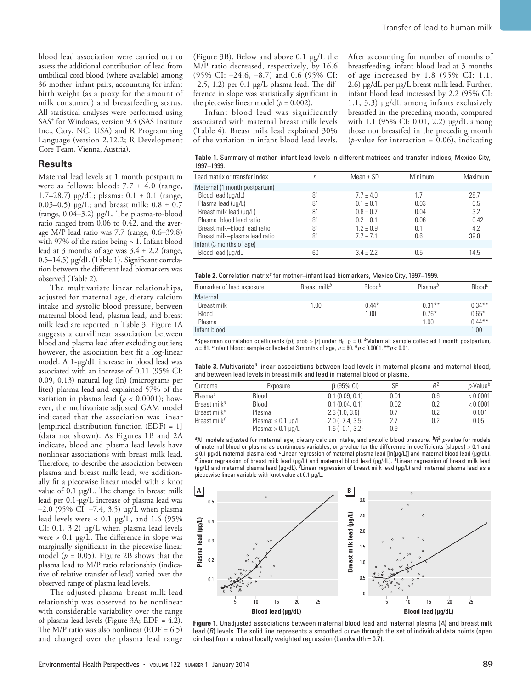blood lead association were carried out to assess the additional contribution of lead from umbilical cord blood (where available) among 36 mother–infant pairs, accounting for infant birth weight (as a proxy for the amount of milk consumed) and breastfeeding status. All statistical analyses were performed using SAS<sup>®</sup> for Windows, version 9.3 (SAS Institute Inc., Cary, NC, USA) and R Programming Language (version 2.12.2; R Development Core Team, Vienna, Austria).

#### **Results**

Maternal lead levels at 1 month postpartum were as follows: blood: 7.7 ± 4.0 (range, 1.7–28.7) μg/dL; plasma: 0.1 ± 0.1 (range, 0.03–0.5)  $\mu$ g/L; and breast milk: 0.8 ± 0.7 (range, 0.04–3.2) μg/L. The plasma-to-blood ratio ranged from 0.06 to 0.42, and the average M/P lead ratio was 7.7 (range, 0.6–39.8) with 97% of the ratios being > 1. Infant blood lead at 3 months of age was 3.4 ± 2.2 (range, 0.5–14.5) μg/dL (Table 1). Significant correlation between the different lead biomarkers was observed (Table 2).

The multivariate linear relationships, adjusted for maternal age, dietary calcium intake and systolic blood pressure, between maternal blood lead, plasma lead, and breast milk lead are reported in Table 3. Figure 1A suggests a curvilinear association between blood and plasma lead after excluding outliers; however, the association best fit a log-linear model. A 1-μg/dL increase in blood lead was associated with an increase of 0.11 (95% CI: 0.09, 0.13) natural log (ln) (micrograms per liter) plasma lead and explained 57% of the variation in plasma lead ( $p < 0.0001$ ); however, the multivariate adjusted GAM model indicated that the association was linear [empirical distribution function (EDF) = 1] (data not shown). As Figures 1B and 2A indicate, blood and plasma lead levels have nonlinear associations with breast milk lead. Therefore, to describe the association between plasma and breast milk lead, we additionally fit a piecewise linear model with a knot value of 0.1 μg/L. The change in breast milk lead per 0.1-μg/L increase of plasma lead was –2.0 (95% CI: –7.4, 3.5) μg/L when plasma lead levels were  $< 0.1$   $\mu$ g/L, and 1.6 (95%) CI: 0.1, 3.2) μg/L when plasma lead levels were > 0.1 μg/L. The difference in slope was marginally significant in the piecewise linear model ( $p = 0.05$ ). Figure 2B shows that the plasma lead to M/P ratio relationship (indicative of relative transfer of lead) varied over the observed range of plasma lead levels.

The adjusted plasma–breast milk lead relationship was observed to be nonlinear with considerable variability over the range of plasma lead levels (Figure 3A; EDF = 4.2). The M/P ratio was also nonlinear (EDF =  $6.5$ ) and changed over the plasma lead range (Figure 3B). Below and above 0.1 μg/L the M/P ratio decreased, respectively, by 16.6 (95% CI: –24.6, –8.7) and 0.6 (95% CI: –2.5, 1.2) per 0.1 μg/L plasma lead. The difference in slope was statistically significant in the piecewise linear model ( $p = 0.002$ ).

Infant blood lead was significantly associated with maternal breast milk levels (Table 4). Breast milk lead explained 30% of the variation in infant blood lead levels.

After accounting for number of months of breastfeeding, infant blood lead at 3 months of age increased by 1.8 (95% CI: 1.1, 2.6) μg/dL per μg/L breast milk lead. Further, infant blood lead increased by 2.2 (95% CI: 1.1, 3.3) μg/dL among infants exclusively breastfed in the preceding month, compared with 1.1 (95% CI: 0.01, 2.2) μg/dL among those not breastfed in the preceding month  $(p$ -value for interaction = 0.06), indicating

**Table 1.** Summary of mother–infant lead levels in different matrices and transfer indices, Mexico City, 1997–1999.

| Lead matrix or transfer index | n  | Mean $\pm$ SD | Minimum | Maximum |
|-------------------------------|----|---------------|---------|---------|
| Maternal (1 month postpartum) |    |               |         |         |
| Blood lead (µg/dL)            | 81 | $7.7 + 4.0$   | 1.7     | 28.7    |
| Plasma lead (µq/L)            | 81 | $0.1 \pm 0.1$ | 0.03    | 0.5     |
| Breast milk lead (µq/L)       | 81 | $0.8 + 0.7$   | 0.04    | 3.2     |
| Plasma-blood lead ratio       | 81 | $0.2 + 0.1$   | 0.06    | 0.42    |
| Breast milk-blood lead ratio  | 81 | $1.2 \pm 0.9$ | 0.1     | 4.2     |
| Breast milk-plasma lead ratio | 81 | $7.7 + 7.1$   | 0.6     | 39.8    |
| Infant (3 months of age)      |    |               |         |         |
| Blood lead (µg/dL             | 60 | $3.4 + 2.2$   | 0.5     | 14.5    |

| Biomarker of lead exposure | Breast milk <sup>b</sup> | $B$ lood <sup>b</sup> | Plasma <sup>b</sup> | Blood <sup>c</sup> |
|----------------------------|--------------------------|-----------------------|---------------------|--------------------|
| Maternal                   |                          |                       |                     |                    |
| Breast milk                | 1.00                     | $0.44*$               | $0.31***$           | $0.34***$          |
| Blood                      |                          | 1.00                  | $0.76*$             | $0.65*$            |
| Plasma                     |                          |                       | 1.00                | $0.44***$          |
| Infant blood               |                          |                       |                     | 1.00               |

*<sup>a</sup>*Spearman correlation coefficients (ρ); prob > |*r*| under H0: ρ = 0. *b*Maternal: sample collected 1 month postpartum, *n* = 81. *c*Infant blood: sample collected at 3 months of age, *n* = 60. \**p* < 0.0001. \*\**p* < 0.01.

| Table 3. Multivariate <sup>a</sup> linear associations between lead levels in maternal plasma and maternal blood, |  |
|-------------------------------------------------------------------------------------------------------------------|--|
| and between lead levels in breast milk and lead in maternal blood or plasma.                                      |  |

| Outcome                  | Exposure                | $\beta$ (95% CI)       | SE   |                | <i>p</i> -Value <sup><i>b</i></sup> |
|--------------------------|-------------------------|------------------------|------|----------------|-------------------------------------|
| Plasma $c$               | <b>Blood</b>            | 0.1(0.09, 0.1)         | 0.01 | 0.6            | < 0.0001                            |
| Breast milk <sup>d</sup> | Blood                   | 0.1(0.04, 0.1)         | 0.02 | 0.2            | < 0.0001                            |
| Breast milk <sup>e</sup> | Plasma                  | 2.3(1.0, 3.6)          | 0.7  | 0.2            | 0.001                               |
| Breast milk <sup>f</sup> | Plasma: $\leq 0.1$ µg/L | $-2.0$ ( $-7.4$ , 3.5) | 2.7  | 0 <sub>2</sub> | 0.05                                |
|                          | Plasma: $> 0.1$ µg/L    | $1.6(-0.1, 3.2)$       | 0.9  |                |                                     |

*<sup>a</sup>*All models adjusted for maternal age, dietary calcium intake, and systolic blood pressure. *bR*<sup>2</sup> *p*-value for models of maternal blood or plasma as continuous variables, or *p*-value for the difference in coefficients (slopes) > 0.1 and ≤ 0.1 μg/dL maternal plasma lead. *c*Linear regression of maternal plasma lead [ln(μg/L)] and maternal blood lead (μg/dL). <sup>d</sup>Linear regression of breast milk lead (µg/L) and maternal blood lead (µg/dL). <sup>e</sup>Linear regression of breast milk lead<br>(µg/L) and maternal plasma lead (µg/dL). <sup>f</sup>Linear regression of breast milk lead (µg/L) and materna piecewise linear variable with knot value at 0.1 μg/L.



**Figure 1.** Unadjusted associations between maternal blood lead and maternal plasma (*A*) and breast milk lead (*B*) levels. The solid line represents a smoothed curve through the set of individual data points (open circles) from a robust locally weighted regression (bandwidth =  $0.7$ ).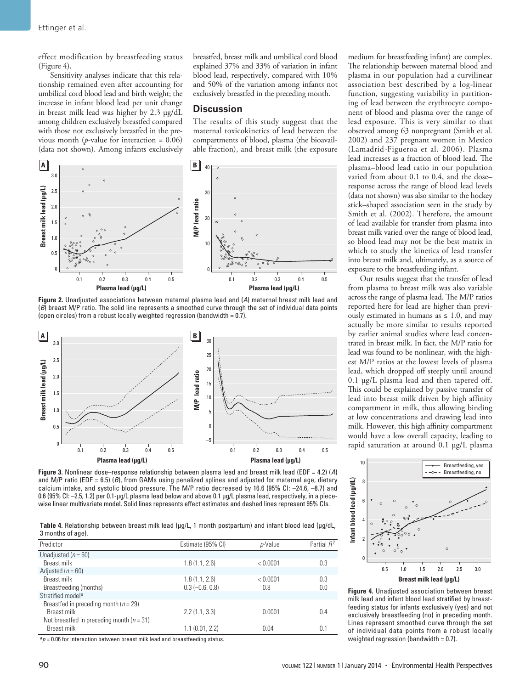effect modification by breastfeeding status (Figure 4).

Sensitivity analyses indicate that this relationship remained even after accounting for umbilical cord blood lead and birth weight; the increase in infant blood lead per unit change in breast milk lead was higher by 2.3 μg/dL among children exclusively breastfed compared with those not exclusively breastfed in the previous month ( $p$ -value for interaction =  $0.06$ ) (data not shown). Among infants exclusively breastfed, breast milk and umbilical cord blood explained 37% and 33% of variation in infant blood lead, respectively, compared with 10% and 50% of the variation among infants not exclusively breastfed in the preceding month.

#### **Discussion**

The results of this study suggest that the maternal toxicokinetics of lead between the compartments of blood, plasma (the bioavailable fraction), and breast milk (the exposure



**Figure 2.** Unadjusted associations between maternal plasma lead and (*A*) maternal breast milk lead and (*B*) breast M/P ratio. The solid line represents a smoothed curve through the set of individual data points



**Figure 3.** Nonlinear dose–response relationship between plasma lead and breast milk lead (EDF = 4.2) (*A*) and M/P ratio (EDF = 6.5) (*B*), from GAMs using penalized splines and adjusted for maternal age, dietary calcium intake, and systolic blood pressure. The M/P ratio decreased by 16.6 (95% CI: –24.6, –8.7) and 0.6 (95% CI: –2.5, 1.2) per 0.1-μg/L plasma lead below and above 0.1 μg/L plasma lead, respectively, in a piece-

**Table 4.** Relationship between breast milk lead (μg/L, 1 month postpartum) and infant blood lead (μg/dL, 3 months of age).

| Estimate (95% CI) | p-Value  | Partial $R^2$ |
|-------------------|----------|---------------|
|                   |          |               |
| 1.8(1.1, 2.6)     | < 0.0001 | 0.3           |
|                   |          |               |
| 1.8(1.1, 2.6)     | < 0.0001 | 0.3           |
| $0.3 (-0.6, 0.8)$ | 0.8      | 0.0           |
|                   |          |               |
|                   |          |               |
| 2.2(1.1, 3.3)     | 0.0001   | 0.4           |
|                   |          |               |
| 1.1(0.01, 2.2)    | 0.04     | 0.1           |
|                   |          |               |

*<sup>a</sup>p* = 0.06 for interaction between breast milk lead and breastfeeding status.

medium for breastfeeding infant) are complex. The relationship between maternal blood and plasma in our population had a curvilinear association best described by a log-linear function, suggesting variability in partitioning of lead between the erythrocyte component of blood and plasma over the range of lead exposure. This is very similar to that observed among 63 nonpregnant (Smith et al. 2002) and 237 pregnant women in Mexico (Lamadrid-Figueroa et al. 2006). Plasma lead increases as a fraction of blood lead. The plasma–blood lead ratio in our population varied from about 0.1 to 0.4, and the dose– response across the range of blood lead levels (data not shown) was also similar to the hockey stick–shaped association seen in the study by Smith et al. (2002). Therefore, the amount of lead available for transfer from plasma into breast milk varied over the range of blood lead, so blood lead may not be the best matrix in which to study the kinetics of lead transfer into breast milk and, ultimately, as a source of exposure to the breastfeeding infant.

Our results suggest that the transfer of lead from plasma to breast milk was also variable across the range of plasma lead. The M/P ratios reported here for lead are higher than previously estimated in humans as  $\leq 1.0$ , and may actually be more similar to results reported by earlier animal studies where lead concentrated in breast milk. In fact, the M/P ratio for lead was found to be nonlinear, with the highest M/P ratios at the lowest levels of plasma lead, which dropped off steeply until around 0.1 μg/L plasma lead and then tapered off. This could be explained by passive transfer of lead into breast milk driven by high affinity compartment in milk, thus allowing binding at low concentrations and drawing lead into milk. However, this high affinity compartment would have a low overall capacity, leading to rapid saturation at around 0.1 μg/L plasma



**Figure 4.** Unadjusted association between breast milk lead and infant blood lead stratified by breastfeeding status for infants exclusively (yes) and not exclusively breastfeeding (no) in preceding month. Lines represent smoothed curve through the set of individual data points from a robust locally weighted regression (bandwidth  $= 0.7$ ).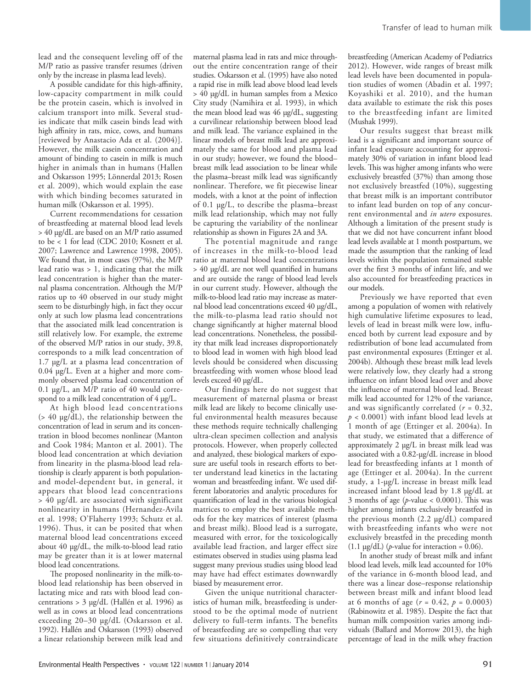lead and the consequent leveling off of the M/P ratio as passive transfer resumes (driven only by the increase in plasma lead levels).

A possible candidate for this high-affinity, low-capacity compartment in milk could be the protein casein, which is involved in calcium transport into milk. Several studies indicate that milk casein binds lead with high affinity in rats, mice, cows, and humans [reviewed by Anastacio Ada et al. (2004)]. However, the milk casein concentration and amount of binding to casein in milk is much higher in animals than in humans (Hallen and Oskarsson 1995; Lönnerdal 2013; Rosen et al. 2009), which would explain the ease with which binding becomes saturated in human milk (Oskarsson et al. 1995).

Current recommendations for cessation of breastfeeding at maternal blood lead levels > 40 μg/dL are based on an M/P ratio assumed to be < 1 for lead (CDC 2010; Kosnett et al. 2007; Lawrence and Lawrence 1998, 2005). We found that, in most cases (97%), the M/P lead ratio was > 1, indicating that the milk lead concentration is higher than the maternal plasma concentration. Although the M/P ratios up to 40 observed in our study might seem to be disturbingly high, in fact they occur only at such low plasma lead concentrations that the associated milk lead concentration is still relatively low. For example, the extreme of the observed M/P ratios in our study, 39.8, corresponds to a milk lead concentration of 1.7 μg/L at a plasma lead concentration of 0.04 μg/L. Even at a higher and more commonly observed plasma lead concentration of 0.1 μg/L, an M/P ratio of 40 would correspond to a milk lead concentration of 4 μg/L.

At high blood lead concentrations (> 40 μg/dL), the relationship between the concentration of lead in serum and its concentration in blood becomes nonlinear (Manton and Cook 1984; Manton et al. 2001). The blood lead concentration at which deviation from linearity in the plasma-blood lead relationship is clearly apparent is both populationand model-dependent but, in general, it appears that blood lead concentrations > 40 μg/dL are associated with significant nonlinearity in humans (Hernandez-Avila et al. 1998; O'Flaherty 1993; Schutz et al. 1996). Thus, it can be posited that when maternal blood lead concentrations exceed about 40 μg/dL, the milk-to-blood lead ratio may be greater than it is at lower maternal blood lead concentrations.

The proposed nonlinearity in the milk-toblood lead relationship has been observed in lactating mice and rats with blood lead concentrations > 3 μg/dL (Hallén et al. 1996) as well as in cows at blood lead concentrations exceeding 20–30 μg/dL (Oskarsson et al. 1992). Hallén and Oskarsson (1993) observed a linear relationship between milk lead and

maternal plasma lead in rats and mice throughout the entire concentration range of their studies. Oskarsson et al. (1995) have also noted a rapid rise in milk lead above blood lead levels > 40 μg/dL in human samples from a Mexico City study (Namihira et al. 1993), in which the mean blood lead was 46 μg/dL, suggesting a curvilinear relationship between blood lead and milk lead. The variance explained in the linear models of breast milk lead are approximately the same for blood and plasma lead in our study; however, we found the blood– breast milk lead association to be linear while the plasma–breast milk lead was significantly nonlinear. Therefore, we fit piecewise linear models, with a knot at the point of inflection of 0.1 μg/L, to describe the plasma–breast milk lead relationship, which may not fully be capturing the variability of the nonlinear relationship as shown in Figures 2A and 3A.

The potential magnitude and range of increases in the milk-to-blood lead ratio at maternal blood lead concentrations > 40 μg/dL are not well quantified in humans and are outside the range of blood lead levels in our current study. However, although the milk-to-blood lead ratio may increase as maternal blood lead concentrations exceed 40 μg/dL, the milk-to-plasma lead ratio should not change significantly at higher maternal blood lead concentrations. Nonetheless, the possibility that milk lead increases disproportionately to blood lead in women with high blood lead levels should be considered when discussing breastfeeding with women whose blood lead levels exceed 40 μg/dL.

Our findings here do not suggest that measurement of maternal plasma or breast milk lead are likely to become clinically useful environmental health measures because these methods require technically challenging ultra-clean specimen collection and analysis protocols. However, when properly collected and analyzed, these biological markers of exposure are useful tools in research efforts to better understand lead kinetics in the lactating woman and breastfeeding infant. We used different laboratories and analytic procedures for quantification of lead in the various biological matrices to employ the best available methods for the key matrices of interest (plasma and breast milk). Blood lead is a surrogate, measured with error, for the toxicologically available lead fraction, and larger effect size estimates observed in studies using plasma lead suggest many previous studies using blood lead may have had effect estimates downwardly biased by measurement error.

Given the unique nutritional characteristics of human milk, breastfeeding is understood to be the optimal mode of nutrient delivery to full-term infants. The benefits of breastfeeding are so compelling that very few situations definitively contraindicate breastfeeding (American Academy of Pediatrics 2012). However, wide ranges of breast milk lead levels have been documented in population studies of women (Abadin et al. 1997; Koyashiki et al. 2010), and the human data available to estimate the risk this poses to the breastfeeding infant are limited (Mushak 1999).

Our results suggest that breast milk lead is a significant and important source of infant lead exposure accounting for approximately 30% of variation in infant blood lead levels. This was higher among infants who were exclusively breastfed (37%) than among those not exclusively breastfed (10%), suggesting that breast milk is an important contributor to infant lead burden on top of any concurrent environmental and *in utero* exposures. Although a limitation of the present study is that we did not have concurrent infant blood lead levels available at 1 month postpartum, we made the assumption that the ranking of lead levels within the population remained stable over the first 3 months of infant life, and we also accounted for breastfeeding practices in our models.

Previously we have reported that even among a population of women with relatively high cumulative lifetime exposures to lead, levels of lead in breast milk were low, influenced both by current lead exposure and by redistribution of bone lead accumulated from past environmental exposures (Ettinger et al. 2004b). Although these breast milk lead levels were relatively low, they clearly had a strong influence on infant blood lead over and above the influence of maternal blood lead. Breast milk lead accounted for 12% of the variance, and was significantly correlated (*r* = 0.32,  $p < 0.0001$ ) with infant blood lead levels at 1 month of age (Ettinger et al. 2004a). In that study, we estimated that a difference of approximately 2 μg/L in breast milk lead was associated with a 0.82-μg/dL increase in blood lead for breastfeeding infants at 1 month of age (Ettinger et al. 2004a). In the current study, a 1-μg/L increase in breast milk lead increased infant blood lead by 1.8 μg/dL at 3 months of age (*p*-value < 0.0001). This was higher among infants exclusively breastfed in the previous month (2.2 μg/dL) compared with breastfeeding infants who were not exclusively breastfed in the preceding month  $(1.1 \text{ µg/dL})$  (*p*-value for interaction = 0.06).

In another study of breast milk and infant blood lead levels, milk lead accounted for 10% of the variance in 6-month blood lead, and there was a linear dose–response relationship between breast milk and infant blood lead at 6 months of age  $(r = 0.42, p = 0.0003)$ (Rabinowitz et al. 1985). Despite the fact that human milk composition varies among individuals (Ballard and Morrow 2013), the high percentage of lead in the milk whey fraction